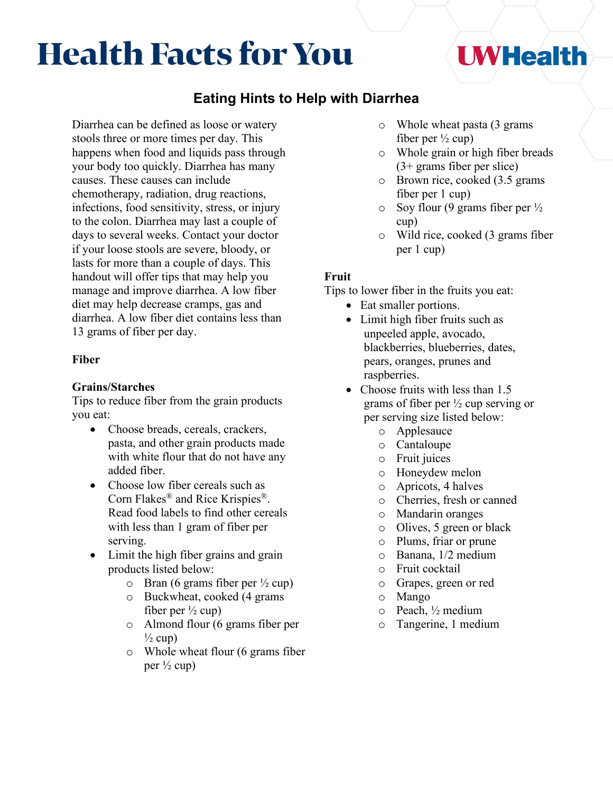# **Health Facts for You**

# **Eating Hints to Help with Diarrhea**

Diarrhea can be defined as loose or watery stools three or more times per day. This happens when food and liquids pass through your body too quickly. Diarrhea has many causes. These causes can include chemotherapy, radiation, drug reactions, infections, food sensitivity, stress, or injury to the colon. Diarrhea may last a couple of days to several weeks. Contact your doctor if your loose stools are severe, bloody, or lasts for more than a couple of days. This handout will offer tips that may help you manage and improve diarrhea. A low fiber diet may help decrease cramps, gas and diarrhea. A low fiber diet contains less than 13 grams of fiber per day.

#### **Fiber**

#### **Grains/Starches**

Tips to reduce fiber from the grain products you eat:

- Choose breads, cereals, crackers, pasta, and other grain products made with white flour that do not have any added fiber.
- Choose low fiber cereals such as Corn Flakes® and Rice Krispies®. Read food labels to find other cereals with less than 1 gram of fiber per serving.
- Limit the high fiber grains and grain products listed below:
	- $\circ$  Bran (6 grams fiber per  $\frac{1}{2}$  cup)
	- o Buckwheat, cooked (4 grams fiber per ½ cup)
	- o Almond flour (6 grams fiber per  $\frac{1}{2}$  cup)
	- o Whole wheat flour (6 grams fiber per ½ cup)
- o Whole wheat pasta (3 grams fiber per  $\frac{1}{2}$  cup)
- o Whole grain or high fiber breads (3+ grams fiber per slice)

**UWHealth** 

- o Brown rice, cooked (3.5 grams fiber per 1 cup)
- $\circ$  Soy flour (9 grams fiber per  $\frac{1}{2}$ cup)
- o Wild rice, cooked (3 grams fiber per 1 cup)

#### **Fruit**

Tips to lower fiber in the fruits you eat:

- Eat smaller portions.
- Limit high fiber fruits such as unpeeled apple, avocado, blackberries, blueberries, dates, pears, oranges, prunes and raspberries.
- Choose fruits with less than 1.5 grams of fiber per ½ cup serving or per serving size listed below:
	- o Applesauce
	- o Cantaloupe
	- o Fruit juices
	- o Honeydew melon
	- o Apricots, 4 halves
	- o Cherries, fresh or canned
	- o Mandarin oranges
	- o Olives, 5 green or black
	- o Plums, friar or prune
	- o Banana, 1/2 medium
	- o Fruit cocktail
	- o Grapes, green or red
	- o Mango
	- o Peach, ½ medium
	- o Tangerine, 1 medium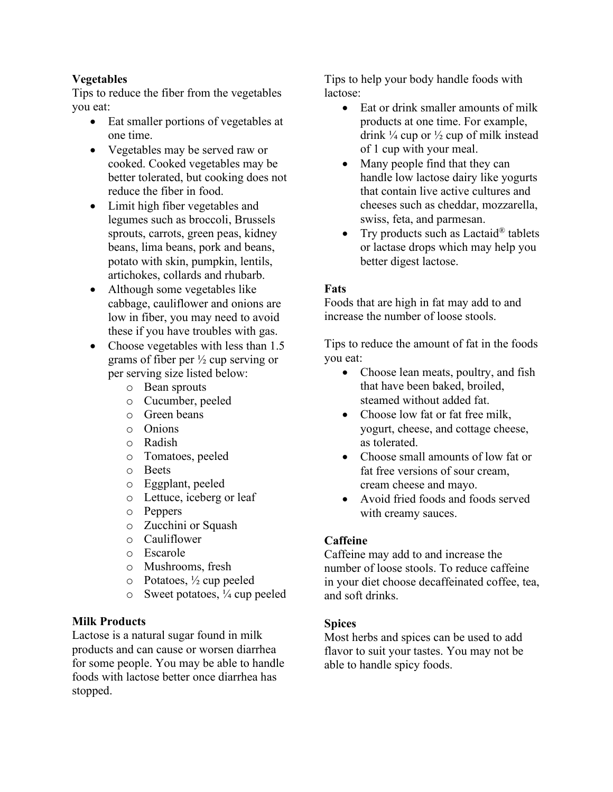## **Vegetables**

Tips to reduce the fiber from the vegetables you eat:

- Eat smaller portions of vegetables at one time.
- Vegetables may be served raw or cooked. Cooked vegetables may be better tolerated, but cooking does not reduce the fiber in food.
- Limit high fiber vegetables and legumes such as broccoli, Brussels sprouts, carrots, green peas, kidney beans, lima beans, pork and beans, potato with skin, pumpkin, lentils, artichokes, collards and rhubarb.
- Although some vegetables like cabbage, cauliflower and onions are low in fiber, you may need to avoid these if you have troubles with gas.
- Choose vegetables with less than 1.5 grams of fiber per ½ cup serving or per serving size listed below:
	- o Bean sprouts
	- o Cucumber, peeled
	- o Green beans
	- o Onions
	- o Radish
	- o Tomatoes, peeled
	- o Beets
	- o Eggplant, peeled
	- o Lettuce, iceberg or leaf
	- o Peppers
	- o Zucchini or Squash
	- o Cauliflower
	- o Escarole
	- o Mushrooms, fresh
	- $\circ$  Potatoes,  $\frac{1}{2}$  cup peeled
	- $\circ$  Sweet potatoes,  $\frac{1}{4}$  cup peeled

# **Milk Products**

Lactose is a natural sugar found in milk products and can cause or worsen diarrhea for some people. You may be able to handle foods with lactose better once diarrhea has stopped.

Tips to help your body handle foods with lactose:

- Eat or drink smaller amounts of milk products at one time. For example, drink  $\frac{1}{4}$  cup or  $\frac{1}{2}$  cup of milk instead of 1 cup with your meal.
- Many people find that they can handle low lactose dairy like yogurts that contain live active cultures and cheeses such as cheddar, mozzarella, swiss, feta, and parmesan.
- Try products such as  $Lactaid^{\circledR}$  tablets or lactase drops which may help you better digest lactose.

# **Fats**

Foods that are high in fat may add to and increase the number of loose stools.

Tips to reduce the amount of fat in the foods you eat:

- Choose lean meats, poultry, and fish that have been baked, broiled, steamed without added fat.
- Choose low fat or fat free milk, yogurt, cheese, and cottage cheese, as tolerated.
- Choose small amounts of low fat or fat free versions of sour cream, cream cheese and mayo.
- Avoid fried foods and foods served with creamy sauces.

# **Caffeine**

Caffeine may add to and increase the number of loose stools. To reduce caffeine in your diet choose decaffeinated coffee, tea, and soft drinks.

## **Spices**

Most herbs and spices can be used to add flavor to suit your tastes. You may not be able to handle spicy foods.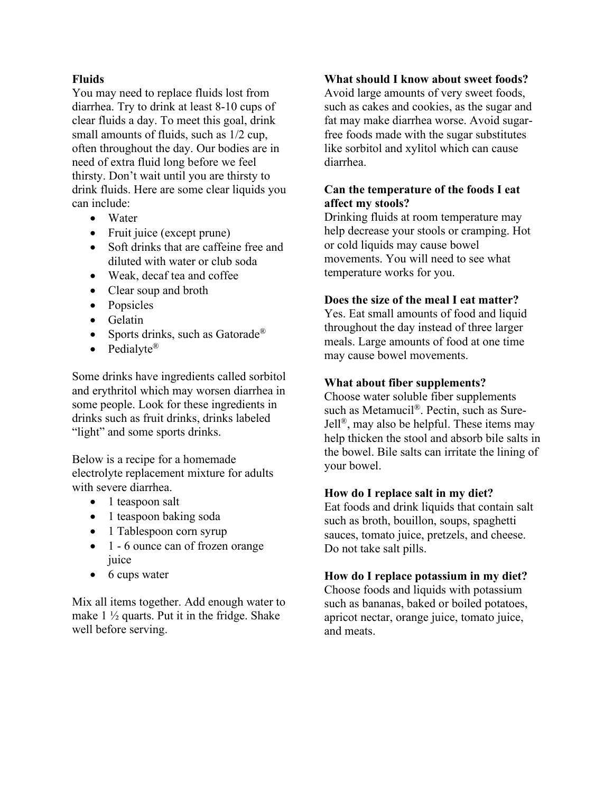#### **Fluids**

You may need to replace fluids lost from diarrhea. Try to drink at least 8-10 cups of clear fluids a day. To meet this goal, drink small amounts of fluids, such as 1/2 cup, often throughout the day. Our bodies are in need of extra fluid long before we feel thirsty. Don't wait until you are thirsty to drink fluids. Here are some clear liquids you can include:

- Water
- Fruit juice (except prune)
- Soft drinks that are caffeine free and diluted with water or club soda
- Weak, decaf tea and coffee
- Clear soup and broth
- Popsicles
- Gelatin
- Sports drinks, such as Gatorade<sup>®</sup>
- Pedialyte<sup>®</sup>

Some drinks have ingredients called sorbitol and erythritol which may worsen diarrhea in some people. Look for these ingredients in drinks such as fruit drinks, drinks labeled "light" and some sports drinks.

Below is a recipe for a homemade electrolyte replacement mixture for adults with severe diarrhea.

- 1 teaspoon salt
- 1 teaspoon baking soda
- 1 Tablespoon corn syrup
- 1 6 ounce can of frozen orange juice
- 6 cups water

Mix all items together. Add enough water to make 1 ½ quarts. Put it in the fridge. Shake well before serving.

#### **What should I know about sweet foods?**

Avoid large amounts of very sweet foods, such as cakes and cookies, as the sugar and fat may make diarrhea worse. Avoid sugarfree foods made with the sugar substitutes like sorbitol and xylitol which can cause diarrhea.

#### **Can the temperature of the foods I eat affect my stools?**

Drinking fluids at room temperature may help decrease your stools or cramping. Hot or cold liquids may cause bowel movements. You will need to see what temperature works for you.

#### **Does the size of the meal I eat matter?**

Yes. Eat small amounts of food and liquid throughout the day instead of three larger meals. Large amounts of food at one time may cause bowel movements.

#### **What about fiber supplements?**

Choose water soluble fiber supplements such as Metamucil®. Pectin, such as Sure-Jell<sup>®</sup>, may also be helpful. These items may help thicken the stool and absorb bile salts in the bowel. Bile salts can irritate the lining of your bowel.

#### **How do I replace salt in my diet?**

Eat foods and drink liquids that contain salt such as broth, bouillon, soups, spaghetti sauces, tomato juice, pretzels, and cheese. Do not take salt pills.

#### **How do I replace potassium in my diet?**

Choose foods and liquids with potassium such as bananas, baked or boiled potatoes, apricot nectar, orange juice, tomato juice, and meats.